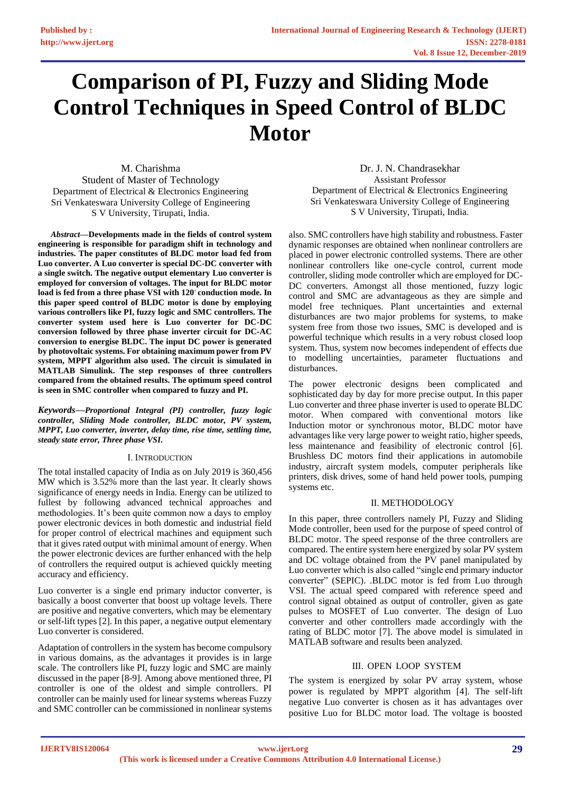# **Comparison of PI, Fuzzy and Sliding Mode Control Techniques in Speed Control of BLDC Motor**

M. Charishma Student of Master of Technology Department of Electrical & Electronics Engineering Sri Venkateswara University College of Engineering S V University, Tirupati, India.

*Abstract***—Developments made in the fields of control system engineering is responsible for paradigm shift in technology and industries. The paper constitutes of BLDC motor load fed from Luo converter. A Luo converter is special DC-DC converter with a single switch. The negative output elementary Luo converter is employed for conversion of voltages. The input for BLDC motor**  load is fed from a three phase VSI with 120° conduction mode. In **this paper speed control of BLDC motor is done by employing various controllers like PI, fuzzy logic and SMC controllers. The converter system used here is Luo converter for DC-DC conversion followed by three phase inverter circuit for DC-AC conversion to energise BLDC. The input DC power is generated by photovoltaic systems. For obtaining maximum power from PV system, MPPT algorithm also used. The circuit is simulated in MATLAB Simulink. The step responses of three controllers compared from the obtained results. The optimum speed control is seen in SMC controller when compared to fuzzy and PI.** 

*Keywords—Proportional Integral (PI) controller, fuzzy logic controller, Sliding Mode controller, BLDC motor, PV system, MPPT, Luo converter, inverter, delay time, rise time, settling time, steady state error, Three phase VSI.*

#### Ⅰ. INTRODUCTION

The total installed capacity of India as on July 2019 is 360,456 MW which is 3.52% more than the last year. It clearly shows significance of energy needs in India. Energy can be utilized to fullest by following advanced technical approaches and methodologies. It's been quite common now a days to employ power electronic devices in both domestic and industrial field for proper control of electrical machines and equipment such that it gives rated output with minimal amount of energy. When the power electronic devices are further enhanced with the help of controllers the required output is achieved quickly meeting accuracy and efficiency.

Luo converter is a single end primary inductor converter, is basically a boost converter that boost up voltage levels. There are positive and negative converters, which may be elementary or self-lift types [2]. In this paper, a negative output elementary Luo converter is considered.

Adaptation of controllers in the system has become compulsory in various domains, as the advantages it provides is in large scale. The controllers like PI, fuzzy logic and SMC are mainly discussed in the paper [8-9]. Among above mentioned three, PI controller is one of the oldest and simple controllers. PI controller can be mainly used for linear systems whereas Fuzzy and SMC controller can be commissioned in nonlinear systems

Dr. J. N. Chandrasekhar Assistant Professor Department of Electrical & Electronics Engineering Sri Venkateswara University College of Engineering S V University, Tirupati, India.

also. SMC controllers have high stability and robustness. Faster dynamic responses are obtained when nonlinear controllers are placed in power electronic controlled systems. There are other nonlinear controllers like one-cycle control, current mode controller, sliding mode controller which are employed for DC-DC converters. Amongst all those mentioned, fuzzy logic control and SMC are advantageous as they are simple and model free techniques. Plant uncertainties and external disturbances are two major problems for systems, to make system free from those two issues, SMC is developed and is powerful technique which results in a very robust closed loop system. Thus, system now becomes independent of effects due to modelling uncertainties, parameter fluctuations and disturbances.

The power electronic designs been complicated and sophisticated day by day for more precise output. In this paper Luo converter and three phase inverter is used to operate BLDC motor. When compared with conventional motors like Induction motor or synchronous motor, BLDC motor have advantages like very large power to weight ratio, higher speeds, less maintenance and feasibility of electronic control [6]. Brushless DC motors find their applications in automobile industry, aircraft system models, computer peripherals like printers, disk drives, some of hand held power tools, pumping systems etc.

#### Ⅱ. METHODOLOGY

In this paper, three controllers namely PI, Fuzzy and Sliding Mode controller, been used for the purpose of speed control of BLDC motor. The speed response of the three controllers are compared. The entire system here energized by solar PV system and DC voltage obtained from the PV panel manipulated by Luo converter which is also called "single end primary inductor converter" (SEPIC). .BLDC motor is fed from Luo through VSI. The actual speed compared with reference speed and control signal obtained as output of controller, given as gate pulses to MOSFET of Luo converter. The design of Luo converter and other controllers made accordingly with the rating of BLDC motor [7]. The above model is simulated in MATLAB software and results been analyzed.

#### Ⅲ. OPEN LOOP SYSTEM

The system is energized by solar PV array system, whose power is regulated by MPPT algorithm [4]. The self-lift negative Luo converter is chosen as it has advantages over positive Luo for BLDC motor load. The voltage is boosted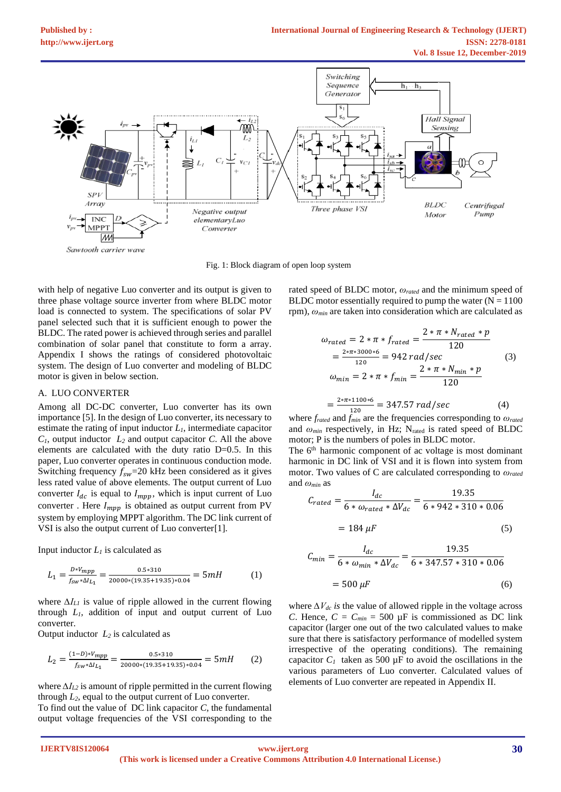

Fig. 1: Block diagram of open loop system

with help of negative Luo converter and its output is given to three phase voltage source inverter from where BLDC motor load is connected to system. The specifications of solar PV panel selected such that it is sufficient enough to power the BLDC. The rated power is achieved through series and parallel combination of solar panel that constitute to form a array. Appendix I shows the ratings of considered photovoltaic system. The design of Luo converter and modeling of BLDC motor is given in below section.

#### A. LUO CONVERTER

Among all DC-DC converter, Luo converter has its own importance [5]. In the design of Luo converter, its necessary to estimate the rating of input inductor  $L_l$ , intermediate capacitor  $C_1$ , output inductor  $L_2$  and output capacitor *C*. All the above elements are calculated with the duty ratio D=0.5. In this paper, Luo converter operates in continuous conduction mode. Switching frequency  $f_{sw}$ =20 kHz been considered as it gives less rated value of above elements. The output current of Luo converter  $I_{dc}$  is equal to  $I_{mpp}$ , which is input current of Luo converter . Here  $I_{\operatorname{mpp}}$  is obtained as output current from PV system by employing MPPT algorithm. The DC link current of VSI is also the output current of Luo converter[1].

Input inductor  $L<sub>1</sub>$  is calculated as

$$
L_1 = \frac{D*V_{mpp}}{f_{sw}*\Delta l_{L_1}} = \frac{0.5*310}{20000*(19.35+19.35)*0.04} = 5mH
$$
 (1)

where *∆IL1* is value of ripple allowed in the current flowing through *L1,* addition of input and output current of Luo converter.

Output inductor  $L_2$  is calculated as

$$
L_2 = \frac{(1-D)*V_{mpp}}{f_{sw}*\Delta I_{L_1}} = \frac{0.5*310}{20000*(19.35+19.35)*0.04} = 5mH
$$
 (2)

where *∆IL2* is amount of ripple permitted in the current flowing through  $L_2$ , equal to the output current of Luo converter. To find out the value of DC link capacitor *C,* the fundamental output voltage frequencies of the VSI corresponding to the rated speed of BLDC motor, *ωrated* and the minimum speed of BLDC motor essentially required to pump the water  $(N = 1100$ rpm), *ωmin* are taken into consideration which are calculated as

$$
\omega_{rated} = 2 * \pi * f_{rated} = \frac{2 * \pi * N_{rated} * p}{120}
$$
  
=  $\frac{2 * \pi * 3000 * 6}{120} = 942 \text{ rad/sec}$  (3)  

$$
\omega_{min} = 2 * \pi * f_{min} = \frac{2 * \pi * N_{min} * p}{120}
$$
  
=  $\frac{2 * \pi * 1100 * 6}{120} = 347.57 \text{ rad/sec}$  (4)

where *frated* and *fmin* are the frequencies corresponding to *ωrated* and *ωmin* respectively, in Hz; Nrated is rated speed of BLDC motor; P is the numbers of poles in BLDC motor.

The 6<sup>th</sup> harmonic component of ac voltage is most dominant harmonic in DC link of VSI and it is flown into system from motor. Two values of C are calculated corresponding to *ωrated* and *ωmin* as

$$
C_{rated} = \frac{I_{dc}}{6 * \omega_{rated} * \Delta V_{dc}} = \frac{19.35}{6 * 942 * 310 * 0.06}
$$

$$
= 184 \ \mu F \tag{5}
$$

$$
C_{min} = \frac{I_{dc}}{6 * \omega_{min} * \Delta V_{dc}} = \frac{19.35}{6 * 347.57 * 310 * 0.06}
$$

$$
= 500 \,\mu\text{F}
$$
 (6)

where *∆Vdc is* the value of allowed ripple in the voltage across *C*. Hence,  $C = C_{min} = 500 \mu F$  is commissioned as DC link capacitor (larger one out of the two calculated values to make sure that there is satisfactory performance of modelled system irrespective of the operating conditions). The remaining capacitor  $C_I$  taken as 500  $\mu$ F to avoid the oscillations in the various parameters of Luo converter. Calculated values of elements of Luo converter are repeated in Appendix II.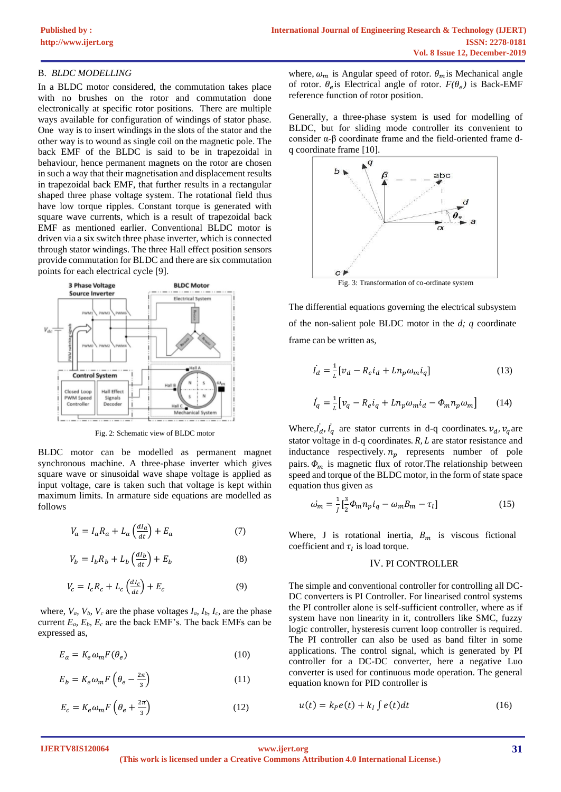# B. *BLDC MODELLING*

In a BLDC motor considered, the commutation takes place with no brushes on the rotor and commutation done electronically at specific rotor positions. There are multiple ways available for configuration of windings of stator phase. One way is to insert windings in the slots of the stator and the other way is to wound as single coil on the magnetic pole. The back EMF of the BLDC is said to be in trapezoidal in behaviour, hence permanent magnets on the rotor are chosen in such a way that their magnetisation and displacement results in trapezoidal back EMF, that further results in a rectangular shaped three phase voltage system. The rotational field thus have low torque ripples. Constant torque is generated with square wave currents, which is a result of trapezoidal back EMF as mentioned earlier. Conventional BLDC motor is driven via a six switch three phase inverter, which is connected through stator windings. The three Hall effect position sensors provide commutation for BLDC and there are six commutation points for each electrical cycle [9].



Fig. 2: Schematic view of BLDC motor

BLDC motor can be modelled as permanent magnet synchronous machine. A three-phase inverter which gives square wave or sinusoidal wave shape voltage is applied as input voltage, care is taken such that voltage is kept within maximum limits. In armature side equations are modelled as follows

$$
V_a = I_a R_a + L_a \left(\frac{dI_a}{dt}\right) + E_a \tag{7}
$$

$$
V_b = I_b R_b + L_b \left(\frac{dI_b}{dt}\right) + E_b \tag{8}
$$

$$
V_c = I_c R_c + L_c \left(\frac{dI_c}{dt}\right) + E_c \tag{9}
$$

where,  $V_a$ ,  $V_b$ ,  $V_c$  are the phase voltages  $I_a$ ,  $I_b$ ,  $I_c$ , are the phase current  $E_a$ ,  $E_b$ ,  $E_c$  are the back EMF's. The back EMFs can be expressed as,

$$
E_a = K_e \omega_m F(\theta_e) \tag{10}
$$

$$
E_b = K_e \omega_m F \left( \theta_e - \frac{2\pi}{3} \right) \tag{11}
$$

$$
E_c = K_e \omega_m F \left(\theta_e + \frac{2\pi}{3}\right) \tag{12}
$$

where,  $\omega_m$  is Angular speed of rotor.  $\theta_m$  is Mechanical angle of rotor.  $\theta_e$  is Electrical angle of rotor.  $F(\theta_e)$  is Back-EMF reference function of rotor position.

Generally, a three-phase system is used for modelling of BLDC, but for sliding mode controller its convenient to consider α-β coordinate frame and the field-oriented frame dq coordinate frame [10].



Fig. 3: Transformation of co-ordinate system

The differential equations governing the electrical subsystem of the non-salient pole BLDC motor in the *d; q* coordinate frame can be written as,

$$
\dot{I}_d = \frac{1}{L} \left[ v_d - R_e i_d + L n_p \omega_m i_q \right] \tag{13}
$$

$$
\dot{I}_q = \frac{1}{L} \left[ v_q - R_e i_q + L n_p \omega_m i_d - \Phi_m n_p \omega_m \right] \tag{14}
$$

Where,  $\vec{l}_d$ ,  $\vec{l}_q$  are stator currents in d-q coordinates.  $v_d$ ,  $v_q$  are ֦ stator voltage in d-q coordinates.  $R$ ,  $L$  are stator resistance and inductance respectively.  $n_p$  represents number of pole pairs.  $\Phi_m$  is magnetic flux of rotor. The relationship between speed and torque of the BLDC motor, in the form of state space equation thus given as

$$
\omega_m = \frac{1}{J} \left[ \frac{3}{2} \Phi_m n_p i_q - \omega_m B_m - \tau_l \right] \tag{15}
$$

Where, J is rotational inertia,  $B_m$  is viscous fictional coefficient and  $\tau_l$  is load torque.

## Ⅳ. PI CONTROLLER

The simple and conventional controller for controlling all DC-DC converters is PI Controller. For linearised control systems the PI controller alone is self-sufficient controller, where as if system have non linearity in it, controllers like SMC, fuzzy logic controller, hysteresis current loop controller is required. The PI controller can also be used as band filter in some applications. The control signal, which is generated by PI controller for a DC-DC converter, here a negative Luo converter is used for continuous mode operation. The general equation known for PID controller is

$$
u(t) = k_P e(t) + k_I \int e(t) dt
$$
 (16)

**IJERTV8IS120064**

**(This work is licensed under a Creative Commons Attribution 4.0 International License.) <www.ijert.org>**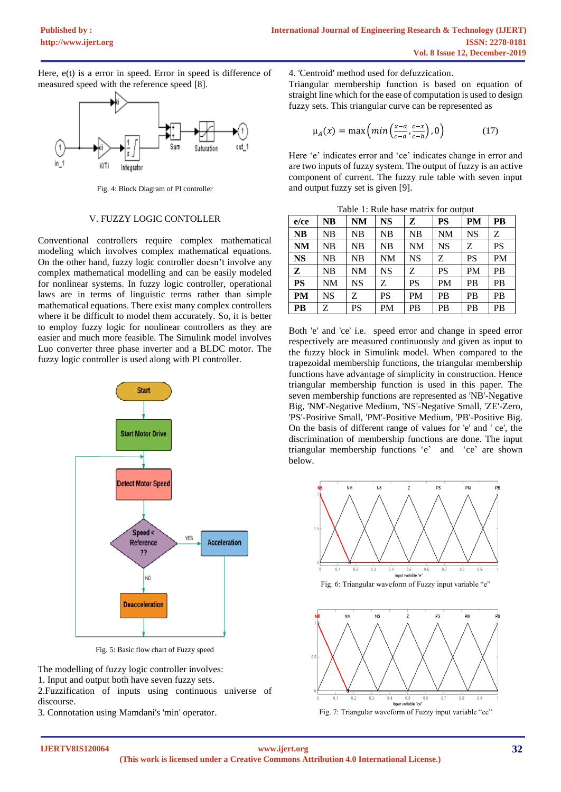Here, e(t) is a error in speed. Error in speed is difference of measured speed with the reference speed [8].



Fig. 4: Block Diagram of PI controller

#### Ⅴ. FUZZY LOGIC CONTOLLER

Conventional controllers require complex mathematical modeling which involves complex mathematical equations. On the other hand, fuzzy logic controller doesn't involve any complex mathematical modelling and can be easily modeled for nonlinear systems. In fuzzy logic controller, operational laws are in terms of linguistic terms rather than simple mathematical equations. There exist many complex controllers where it be difficult to model them accurately. So, it is better to employ fuzzy logic for nonlinear controllers as they are easier and much more feasible. The Simulink model involves Luo converter three phase inverter and a BLDC motor. The fuzzy logic controller is used along with PI controller.



Fig. 5: Basic flow chart of Fuzzy speed

The modelling of fuzzy logic controller involves:

1. Input and output both have seven fuzzy sets.

2.Fuzzification of inputs using continuous universe of discourse.

3. Connotation using Mamdani's 'min' operator.

4. 'Centroid' method used for defuzzication.

Triangular membership function is based on equation of straight line which for the ease of computation is used to design fuzzy sets. This triangular curve can be represented as

$$
\mu_A(x) = \max\left(\min\left(\frac{x-a}{c-a}, \frac{c-x}{c-b}\right), 0\right) \tag{17}
$$

Here 'e' indicates error and 'ce' indicates change in error and are two inputs of fuzzy system. The output of fuzzy is an active component of current. The fuzzy rule table with seven input and output fuzzy set is given [9].

| Table 1: Rule base matrix for output |  |
|--------------------------------------|--|
|--------------------------------------|--|

| $e$ / $ce$ | <b>NB</b> | <b>NM</b> | <b>NS</b> | z         | <b>PS</b> | <b>PM</b> | <b>PB</b> |
|------------|-----------|-----------|-----------|-----------|-----------|-----------|-----------|
| <b>NB</b>  | <b>NB</b> | NB        | NB        | NB        | <b>NM</b> | <b>NS</b> | Ζ         |
| <b>NM</b>  | <b>NB</b> | NB        | <b>NB</b> | <b>NM</b> | <b>NS</b> | Z         | <b>PS</b> |
| <b>NS</b>  | NB        | NB        | NM        | <b>NS</b> | Ζ         | PS        | <b>PM</b> |
| Z          | <b>NB</b> | NM        | <b>NS</b> | Z         | <b>PS</b> | <b>PM</b> | <b>PB</b> |
| <b>PS</b>  | NM        | NS        | Z         | PS        | <b>PM</b> | <b>PB</b> | <b>PB</b> |
| <b>PM</b>  | NS        | Ζ         | <b>PS</b> | PM        | <b>PB</b> | <b>PB</b> | <b>PB</b> |
| <b>PB</b>  | Z         | PS        | <b>PM</b> | PB        | <b>PB</b> | <b>PB</b> | <b>PB</b> |

Both 'e' and 'ce' i.e. speed error and change in speed error respectively are measured continuously and given as input to the fuzzy block in Simulink model. When compared to the trapezoidal membership functions, the triangular membership functions have advantage of simplicity in construction. Hence triangular membership function is used in this paper. The seven membership functions are represented as 'NB'-Negative Big, 'NM'-Negative Medium, 'NS'-Negative Small, 'ZE'-Zero, 'PS'-Positive Small, 'PM'-Positive Medium, 'PB'-Positive Big. On the basis of different range of values for 'e' and ' ce', the discrimination of membership functions are done. The input triangular membership functions 'e' and 'ce' are shown below.







Fig. 7: Triangular waveform of Fuzzy input variable "ce"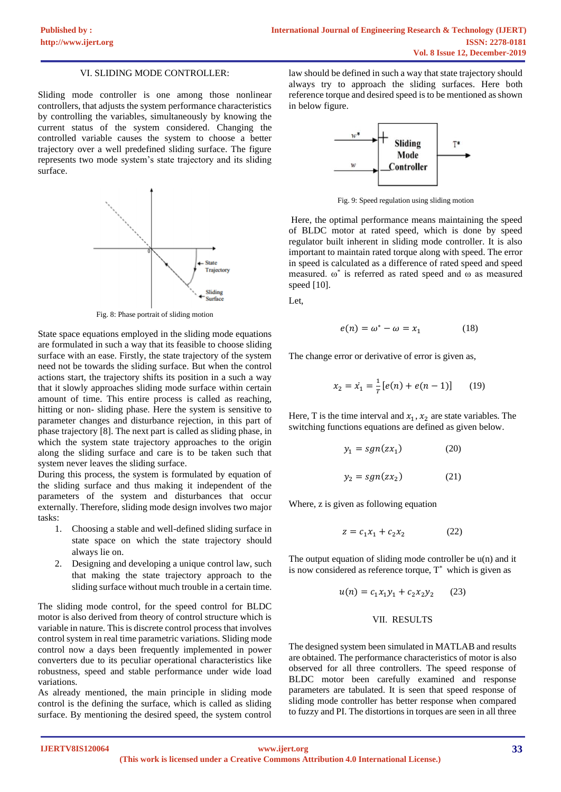#### Ⅵ. SLIDING MODE CONTROLLER:

Sliding mode controller is one among those nonlinear controllers, that adjusts the system performance characteristics by controlling the variables, simultaneously by knowing the current status of the system considered. Changing the controlled variable causes the system to choose a better trajectory over a well predefined sliding surface. The figure represents two mode system's state trajectory and its sliding surface.



Fig. 8: Phase portrait of sliding motion

State space equations employed in the sliding mode equations are formulated in such a way that its feasible to choose sliding surface with an ease. Firstly, the state trajectory of the system need not be towards the sliding surface. But when the control actions start, the trajectory shifts its position in a such a way that it slowly approaches sliding mode surface within certain amount of time. This entire process is called as reaching, hitting or non- sliding phase. Here the system is sensitive to parameter changes and disturbance rejection, in this part of phase trajectory [8]. The next part is called as sliding phase, in which the system state trajectory approaches to the origin along the sliding surface and care is to be taken such that system never leaves the sliding surface.

During this process, the system is formulated by equation of the sliding surface and thus making it independent of the parameters of the system and disturbances that occur externally. Therefore, sliding mode design involves two major tasks:

- 1. Choosing a stable and well-defined sliding surface in state space on which the state trajectory should always lie on.
- 2. Designing and developing a unique control law, such that making the state trajectory approach to the sliding surface without much trouble in a certain time.

The sliding mode control, for the speed control for BLDC motor is also derived from theory of control structure which is variable in nature. This is discrete control process that involves control system in real time parametric variations. Sliding mode control now a days been frequently implemented in power converters due to its peculiar operational characteristics like robustness, speed and stable performance under wide load variations.

As already mentioned, the main principle in sliding mode control is the defining the surface, which is called as sliding surface. By mentioning the desired speed, the system control

law should be defined in such a way that state trajectory should always try to approach the sliding surfaces. Here both reference torque and desired speed is to be mentioned as shown in below figure.



Fig. 9: Speed regulation using sliding motion

Here, the optimal performance means maintaining the speed of BLDC motor at rated speed, which is done by speed regulator built inherent in sliding mode controller. It is also important to maintain rated torque along with speed. The error in speed is calculated as a difference of rated speed and speed measured. ω\* is referred as rated speed and ω as measured speed [10].

Let,

$$
e(n) = \omega^* - \omega = x_1 \tag{18}
$$

The change error or derivative of error is given as,

$$
x_2 = \dot{x}_1 = \frac{1}{T} [e(n) + e(n-1)] \tag{19}
$$

Here, T is the time interval and  $x_1, x_2$  are state variables. The switching functions equations are defined as given below.

$$
y_1 = sgn(zx_1) \tag{20}
$$

$$
y_2 = sgn(zx_2) \tag{21}
$$

Where, z is given as following equation

$$
z = c_1 x_1 + c_2 x_2 \tag{22}
$$

The output equation of sliding mode controller be u(n) and it is now considered as reference torque,  $T^*$  which is given as

$$
u(n) = c_1 x_1 y_1 + c_2 x_2 y_2 \qquad (23)
$$

#### Ⅶ. RESULTS

The designed system been simulated in MATLAB and results are obtained. The performance characteristics of motor is also observed for all three controllers. The speed response of BLDC motor been carefully examined and response parameters are tabulated. It is seen that speed response of sliding mode controller has better response when compared to fuzzy and PI. The distortions in torques are seen in all three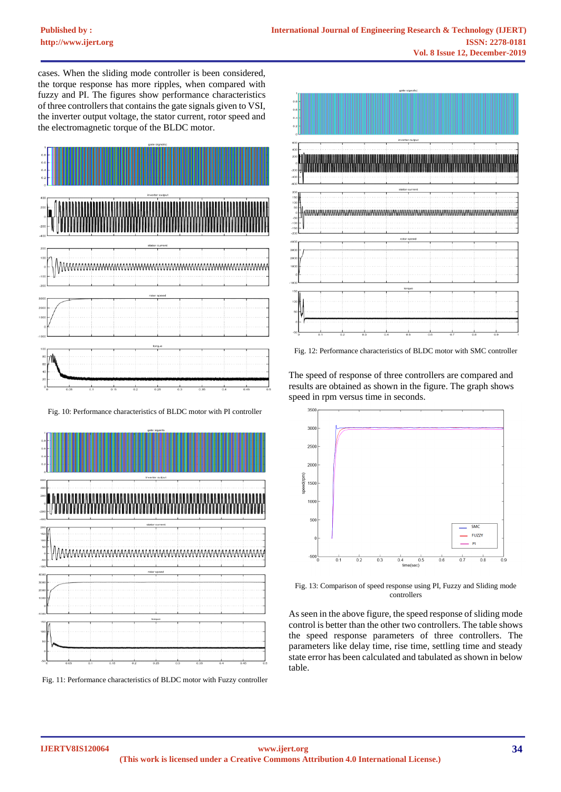cases. When the sliding mode controller is been considered, the torque response has more ripples, when compared with fuzzy and PI. The figures show performance characteristics of three controllers that contains the gate signals given to VSI, the inverter output voltage, the stator current, rotor speed and the electromagnetic torque of the BLDC motor.



Fig. 10: Performance characteristics of BLDC motor with PI controller



Fig. 11: Performance characteristics of BLDC motor with Fuzzy controller



Fig. 12: Performance characteristics of BLDC motor with SMC controller

The speed of response of three controllers are compared and results are obtained as shown in the figure. The graph shows speed in rpm versus time in seconds.



Fig. 13: Comparison of speed response using PI, Fuzzy and Sliding mode controllers

As seen in the above figure, the speed response of sliding mode control is better than the other two controllers. The table shows the speed response parameters of three controllers. The parameters like delay time, rise time, settling time and steady state error has been calculated and tabulated as shown in below table.